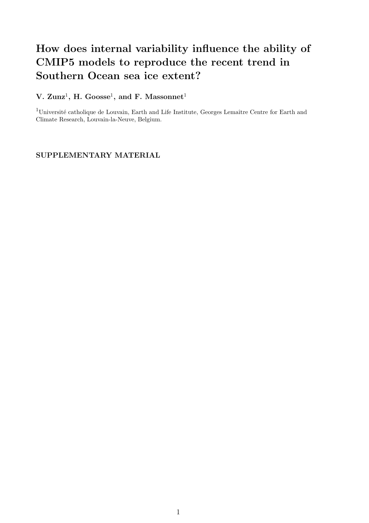## How does internal variability influence the ability of CMIP5 models to reproduce the recent trend in Southern Ocean sea ice extent?

## V.  $\text{Zunz}^1$ , H. Goosse<sup>1</sup>, and F. Massonnet<sup>1</sup>

<sup>1</sup>Université catholique de Louvain, Earth and Life Institute, Georges Lemaître Centre for Earth and Climate Research, Louvain-la-Neuve, Belgium.

## SUPPLEMENTARY MATERIAL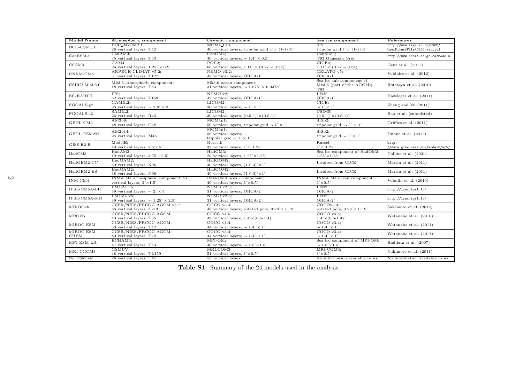| Model Name                       | Atmospheric component                                              | Oceanic component                                                                            | Sea ice component                                                        | References                       |  |
|----------------------------------|--------------------------------------------------------------------|----------------------------------------------------------------------------------------------|--------------------------------------------------------------------------|----------------------------------|--|
| $BCC$ - $CSM1.1$                 | BCC_AGCM2.1:                                                       | $MOM4_L40:$                                                                                  | SIS:                                                                     | http://www.lasg.ac.cn/C20C/      |  |
|                                  | 26 vertical layers, T42                                            | 40 vertical layers, tripolar grid $1^{\circ} \times (1 - 1/3)^{\circ}$                       | tripolar grid $1^{\circ} \times (1 - 1/3)^{\circ}$                       | UserFiles/File/C20C-xin.pdf      |  |
| CanESM2                          | CanAM4:                                                            | CanOM4:                                                                                      | CanSIM1:                                                                 | http://www.cccma.ec.gc.ca/models |  |
|                                  | 35 vertical layers, T63                                            | 40 vertical layers, $\sim 1.4^{\circ} \times 0.9^{\circ}$                                    | T63 Gaussian Grid                                                        |                                  |  |
| CCSM4                            | CAM4:<br>26 vertical layers, $1.25^{\circ} \times 0.9^{\circ}$     | POP2:<br>60 vertical layers, $1.11^{\circ} \times (0.27 - 0.54)^{\circ}$                     | CICE4:<br>$1.11^{\circ} \times (0.27 - 0.54)^{\circ}$                    | Gent et al. $(2011)$             |  |
|                                  | ARPEGE-CLIMAT v5.2;                                                | $NEMO$ v3.2:                                                                                 | GELATO v5:                                                               |                                  |  |
| CNRM-CM5                         | 31 vertical layers, T127                                           | 42 vertical layers, ORCA-1°                                                                  | $ORCA-1$ <sup>*</sup>                                                    | Voldoire et al. (2012)           |  |
|                                  |                                                                    |                                                                                              | Sea ice sub-component of                                                 |                                  |  |
| $CSIRO-Mk3.6.0$                  | Mk3.6 atmospheric component;                                       | Mk3.6 ocean component;                                                                       | Mk3.6 (part of the AGCM);                                                | Rotstayn et al. (2010)           |  |
|                                  | 18 vertical layers, T63                                            | 31 vertical layers, $\sim 1.875^{\circ} \times 0.9375^{\circ}$                               | T63                                                                      |                                  |  |
| EC-EARTH                         | IFS:                                                               | $NEMO$ $v2$ :                                                                                | LIM2;                                                                    | Hazeleger et al. (2011)          |  |
|                                  | 62 vertical layers, T159                                           | 42 vertical layers, ORCA-1°                                                                  | $ORCA-1$ <sup>*</sup>                                                    |                                  |  |
| FGOALS-g2                        | GAMIL2;                                                            | LICOM2:                                                                                      | CICE:                                                                    | Zhang and Yu $(2011)$            |  |
|                                  | 26 vertical layers, $\sim 2.8^{\circ} \times 3^{\circ}$<br>SAMIL2; | 30 vertical layers, $\sim 1^{\circ} \times 1^{\circ}$                                        | $\sim$ 1° $\times$ 1°<br>CSIM5;                                          |                                  |  |
| FGOALS-s2                        | 26 vertical layers, R42                                            | LICOM2:<br>30 vertical layers, $(0.5-1)^\circ \times (0.5-1)^\circ$                          | $(0.5-1)^{\circ} \times (0.5-1)^{\circ}$                                 | Bao et al. (submitted)           |  |
|                                  | AM3p9;                                                             | MOM4p1;                                                                                      | $SISp2$ ;                                                                |                                  |  |
| GFDL-CM3                         | 48 vertical layers, C48                                            | 50 vertical layers, tripolar grid $\sim 1^{\circ} \times 1^{\circ}$                          | tripolar grid, $\sim 1^{\circ} \times 1^{\circ}$                         | Griffies et al. $(2011)$         |  |
|                                  |                                                                    | MOM4p1;                                                                                      |                                                                          |                                  |  |
| GFDL-ESM2M                       | $AM2p14$ ;                                                         | 50 vertical layers;                                                                          | SISp2:                                                                   | Dunne et al. $(2012)$            |  |
|                                  | 24 vertical layers, M45                                            | tripolar grid $\sim 1^{\circ} \times 1^{\circ}$                                              | tripolar grid $\sim 1^{\circ} \times 1^{\circ}$                          |                                  |  |
| $GISS-E2-R$                      | ModelE;                                                            | Russell:                                                                                     | Russel:                                                                  | http:                            |  |
|                                  | 40 vertical layers, $2^{\circ} \times 2.5^{\circ}$                 | 32 vertical layers, $1^{\circ} \times 1.25^{\circ}$                                          | $1^{\circ} \times 1.25^{\circ}$                                          | //data.giss.nasa.gov/modelE/ar5/ |  |
| HadCM3                           | HadAM3;                                                            | HadOM3:                                                                                      | Sea ice component of HadOM3;                                             | Collins et al. (2001)            |  |
|                                  | 19 vertical layers, $3.75^{\circ} \times 2.5^{\circ}$              | 20 vertical layers, $1.25^{\circ} \times 1.25^{\circ}$                                       | $1.25^{\circ} \times 1.25^{\circ}$                                       |                                  |  |
| $HadGEM2-CC$                     | HadGAM2:<br>60 vertical layers, N96                                | HadGOM2:<br>40 vertical layers, $(1-0.3)^{\circ} \times 1^{\circ}$                           | Inspired from CICE                                                       | Martin et al. $(2011)$           |  |
|                                  | HadGAM2;                                                           | HadGOM2;                                                                                     |                                                                          |                                  |  |
| HadGEM2-ES                       | 38 vertical layers, N96                                            | 40 vertical layers, $(1-0.3)^{\circ} \times 1^{\circ}$                                       | Inspired from CICE                                                       | Martin et al. (2011)             |  |
|                                  | INM-CM4 atmospheric component, 21                                  | INM-CM4 ocean component;                                                                     | INM-CM4 ocean component;                                                 |                                  |  |
| INM-CM4                          | vertical layers, $2^{\circ} \times 1.5^{\circ}$                    | 40 vertical layers, $1^{\circ} \times 0.5^{\circ}$                                           | $1^\circ \times 0.5^\circ$                                               | Volodin et al. $(2010)$          |  |
| IPSL-CM5A-LR                     | $LMDZ4$ v5;                                                        | $NEMO$ v2.3;                                                                                 | $LIM2$ ;                                                                 | http://icmc.ipsl.fr/             |  |
|                                  | 39 vertical layers, $\sim 2^{\circ} \times 4^{\circ}$              | 31 vertical layers, ORCA-2°                                                                  | ORCA-2°                                                                  |                                  |  |
| IPSL-CM5A-MR<br>MIROC4h<br>MROC5 | $LMDZ4$ v5:                                                        | $NEMO$ $v2.3$ :                                                                              | $LIM2$ ;                                                                 | http://icmc.ipsl.fr/             |  |
|                                  | 39 vertical layers, $\sim 1.25^{\circ} \times 2.5^{\circ}$         | 31 vertical layers, ORCA-2°                                                                  | $ORCA-2$ <sup>*</sup>                                                    |                                  |  |
|                                  | CCSR/NIES/FRCGC AGCM v5.7;                                         | COCOv3.4                                                                                     | COCOv3.4                                                                 | Sakamoto et al. (2012)           |  |
|                                  | 56 vertical layers, T213<br>CCSR/NIES/FRCGC AGCM;                  | 48 vertical layers, rotated pole, $0.28^{\circ} \times 0.19^{\circ}$<br>COCO <sub>v4.5</sub> | rotated pole, $0.28^{\circ} \times 0.19^{\circ}$<br>COCO <sub>v4.5</sub> |                                  |  |
|                                  | 40 vertical layers, T85                                            | 49 vertical layers, $1.4^{\circ} \times (0.5{\text -}1.4)^{\circ}$                           | $1.4^{\circ} \times (0.5 - 1.4)^{\circ}$                                 | Watanabe et al. (2010)           |  |
| MIROC-ESM                        | CCSR/NIES/FRCGC AGCM;                                              | COCOv3.4                                                                                     | $COCO$ v3.4;                                                             |                                  |  |
|                                  | 80 vertical layers, T42                                            | 44 vertical layers, $\sim 1.4^{\circ} \times 1^{\circ}$                                      | $\sim$ 1.4° $\times$ 1°                                                  | Watanabe et al. (2011)           |  |
| MIROC-ESM-                       | CCSR/NIES/FRCGC AGCM;                                              | $COCO$ $v3.4$ :                                                                              | $COCO$ v3.4;                                                             |                                  |  |
| CHEM                             | 80 vertical layers, T42                                            | 44 vertical layers; $\sim 1.4^{\circ} \times 1^{\circ}$                                      | $\sim 1.4^{\circ} \times 1^{\circ}$                                      | Watanabe et al. (2011)           |  |
| MPI-ESM-LR                       | ECHAM6;                                                            | MPI-OM;                                                                                      | Sea ice component of MPI-OM;                                             | Raddatz et al. (2007)            |  |
|                                  | 47 vertical layers, T63                                            | 40 vertical layers, $\sim 1.5^{\circ} \times 1.5^{\circ}$                                    | $\sim 1.5^{\circ} \times 1.5^{\circ}$                                    |                                  |  |
| MRI-CGCM3                        | GSMUV;                                                             | MRI.COM3:                                                                                    | MRI.COM3;                                                                | Yukimoto et al. (2011)           |  |
|                                  | 48 vertical layers, TL159                                          | 51 vertical layers, $1^{\circ} \times 0.5^{\circ}$                                           | $1^\circ \times 0.5^\circ$                                               |                                  |  |
| NorESM1-M                        | 26 vertical layers, F19                                            | 53 vertical layers                                                                           | No information available to us.                                          | No information available to us.  |  |

Table S1: Summary of the 24 models used in the analysis.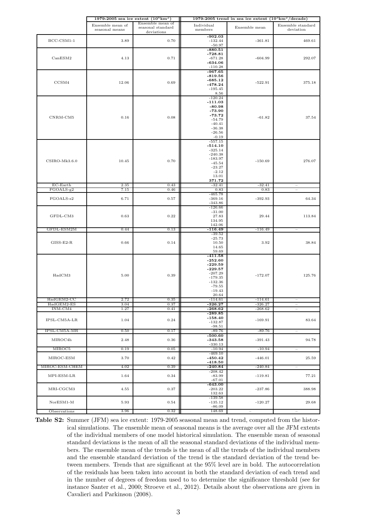|                            | 1979-2005 sea ice extent $(10^6 \text{km}^2)$ |                                                     | 1979-2005 trend in sea ice extent $(10^3 \text{km}^2/\text{decade})$                                                     |                          |                                                      |
|----------------------------|-----------------------------------------------|-----------------------------------------------------|--------------------------------------------------------------------------------------------------------------------------|--------------------------|------------------------------------------------------|
|                            | Ensemble mean of<br>seasonal means            | Ensemble mean of<br>seasonal standard<br>deviations | Individual<br>members                                                                                                    | Ensemble mean            | Ensemble standard<br>deviation                       |
| BCC-CSM1-1                 | 3.89                                          | 0.70                                                | $-902.03$<br>$-132.44$<br>$-50.97$                                                                                       | $-361.81$                | 469.61                                               |
| CanESM2                    | 4.13                                          | 0.71                                                | $-880.51$<br>$-728.81$<br>$-671.28$<br>$-634.06$<br>$-110.28$                                                            | $-604.99$                | 292.07                                               |
| CCSM4                      | 12.06                                         | 0.69                                                | $-967.65$<br>$-819.56$<br>$-685.12$<br>$-478.24$<br>$-195.45$<br>8.56                                                    | $-522.91$                | 375.18                                               |
| CNRM-CM5                   | $\rm 0.16$                                    | 0.08                                                | $-120.24$<br>-111.03<br>$-80.98$<br>$-73.90$<br>$-73.72$<br>$-54.79$<br>$-40.41$<br>$-36.38$<br>$-26.56$<br>$-0.19$      | $-61.82$                 | 37.54                                                |
| $CSIRO-Mk3.6.0$            | 10.45                                         | 0.70                                                | $-557.15$<br>$-514.10$<br>$-325.14$<br>$-240.38$<br>$-183.97$<br>$-45.54$<br>$-23.27$<br>$-2.12$<br>13.01<br>371.72      | $-150.69$                | 276.07                                               |
| $EC$ -Earth<br>$FGOALS-g2$ | 2.35<br>7.15                                  | 0.43<br>0.46                                        | $-32.41$<br>0.83                                                                                                         | $-32.41$<br>0.83         | $\overline{\phantom{m}}$                             |
| FGOALS-s2                  | 6.71                                          | 0.57                                                | $-465.78$<br>$-369.16$<br>$-343.86$                                                                                      | $-392.93$                | 64.34                                                |
| GFDL-CM3                   | 0.63                                          | 0.22                                                | $-126.66$<br>$-31.00$<br>27.83<br>134.95<br>142.06                                                                       | 29.44                    | 113.84                                               |
| GFDL-ESM2M                 | 0.44                                          | 0.13                                                | $-116.49$                                                                                                                | $-116.49$                | $\overline{\phantom{a}}$                             |
| $GISS-E2-R$                | 0.66                                          | 0.14                                                | $-39.52$<br>$-25.73$<br>10.50<br>14.65<br>59.69                                                                          | 3.92                     | 38.84                                                |
| HadCM3                     | 5.00                                          | 0.39                                                | $-411.58$<br>$-252.60$<br>$-229.59$<br>$-229.57$<br>$-207.29$<br>$-179.35$<br>$-132.36$<br>$-79.55$<br>$-19.43$<br>20.64 | $-172.07$                | 125.76                                               |
| $HadGEM2-CC$               | 2.72                                          | 0.35                                                | $-114.61$                                                                                                                | $-114.61$                | $\overline{\phantom{a}}$                             |
| HadGEM2-ES<br>INM-CM4      | 3.04<br>1.27                                  | 0.37<br>0.41                                        | $-326.27$<br>$-268.62$                                                                                                   | $-326.27$<br>$-268.62$   | $\overline{\phantom{m}}$<br>$\overline{\phantom{m}}$ |
| IPSL-CM5A-LR               | 1.04                                          | 0.24                                                | $-289.85$<br>-158.40<br>$-132.87$<br>$-98.51$                                                                            | $-169.91$                | 83.64                                                |
| IPSL-CM5A-MR               | 0.50                                          | 0.17                                                | $-89.76$                                                                                                                 | $-89.76$                 |                                                      |
| MIROC4h                    | 2.48                                          | 0.36                                                | $-500.60$<br>$-343.58$<br>$-330.13$                                                                                      | $-391.43$                | 94.78                                                |
| MIROC5                     | 0.19                                          | 0.05                                                | $-10.94$                                                                                                                 | $-10.94$                 | $\hspace{1.0cm} - \hspace{1.0cm}$                    |
| MIROC-ESM                  | 3.70                                          | 0.42                                                | $-469.10$<br>$-450.42$<br>$-418.50$                                                                                      | $-446.01$                | 25.59                                                |
| MIROC-ESM-CHEM             | 4.02                                          | 0.39                                                | $-240.84$                                                                                                                | $-240.84$                |                                                      |
| MPI-ESM-LR                 | 1.64                                          | 0.34                                                | $-208.42$<br>-83.99<br>$-67.01$                                                                                          | $-119.81$                | 77.21                                                |
| MRI-CGCM3                  | 4.55                                          | 0.37                                                | -643.00<br>$-203.22$<br>132.63                                                                                           | $-237.86$                | 388.98                                               |
| $NorESM1-M$                | 5.93                                          | 0.54                                                | $-139.58$<br>$-135.12$<br>$-86.09$                                                                                       | $-120.27$                | 29.68                                                |
| Observations               | 3.96                                          | 0.32                                                | 148.69                                                                                                                   | $\overline{\phantom{m}}$ |                                                      |

Table S2: Summer (JFM) sea ice extent: 1979-2005 seasonal mean and trend, computed from the historical simulations. The ensemble mean of seasonal means is the average over all the JFM extents of the individual members of one model historical simulation. The ensemble mean of seasonal standard deviations is the mean of all the seasonal standard deviations of the individual members. The ensemble mean of the trends is the mean of all the trends of the individual members and the ensemble standard deviation of the trend is the standard deviation of the trend between members. Trends that are significant at the 95% level are in bold. The autocorrelation of the residuals has been taken into account in both the standard deviation of each trend and in the number of degrees of freedom used to to determine the significance threshold (see for instance Santer et al., 2000; Stroeve et al., 2012). Details about the observations are given in Cavalieri and Parkinson (2008).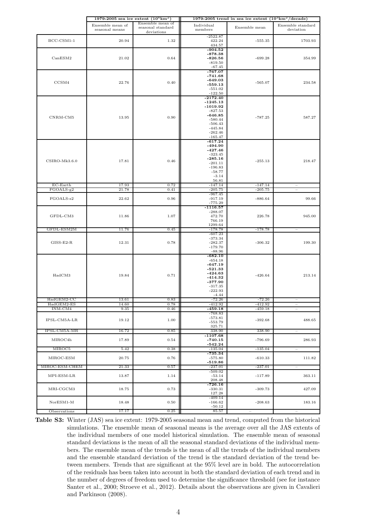|                            | 1979-2005 sea ice extent $(10^6 \text{km}^2)$ |                                                     | 1979-2005 trend in sea ice extent $(10^3 \text{km}^2/\text{decade})$                                                              |                          |                                                      |
|----------------------------|-----------------------------------------------|-----------------------------------------------------|-----------------------------------------------------------------------------------------------------------------------------------|--------------------------|------------------------------------------------------|
|                            | Ensemble mean of<br>seasonal means            | Ensemble mean of<br>seasonal standard<br>deviations | Individual<br>members                                                                                                             | Ensemble mean            | Ensemble standard<br>deviation                       |
| BCC-CSM1-1                 | 20.94                                         | 1.32                                                | $-2522.87$<br>422.24<br>434.57                                                                                                    | $-555.35$                | 1703.93                                              |
| CanESM2                    | 21.02                                         | 0.64                                                | $-904.52$<br>$-878.38$<br>$-826.56$<br>$-819.50$<br>$-67.45$                                                                      | $-699.28$                | 354.99                                               |
| CCSM4                      | 22.76                                         | 0.40                                                | $-767.07$<br>$-741.68$<br>$-649.03$<br>-559.13<br>$-551.02$<br>$-122.50$                                                          | $-565.07$                | 234.58                                               |
| CNRM-CM5                   | 13.95                                         | 0.90                                                | $-2172.40$<br>$-1245.13$<br>$-1019.92$<br>$-827.53$<br>$-646.85$<br>$-580.44$<br>$-506.43$<br>$-445.84$<br>$-262.46$<br>$-165.47$ | $-787.25$                | 587.27                                               |
| $CSIRO-Mk3.6.0$            | 17.81                                         | 0.46                                                | $-617.24$<br>$-494.90$<br>$-427.46$<br>$-323.45$<br>$-285.16$<br>$-201.11$<br>$-196.83$<br>$-58.77$<br>$-3.14$<br>56.81           | $-255.13$                | 218.47                                               |
| $EC$ -Earth<br>$FGOALS-g2$ | 17.93<br>21.78                                | 0.72<br>0.41                                        | $-147.14$<br>$-205.75$                                                                                                            | $-147.14$<br>$-205.75$   | $\overline{\phantom{m}}$                             |
| FGOALS-s2                  | 22.62                                         | 0.96                                                | $-967.45$<br>$-917.19$<br>$-775.29$                                                                                               | $-886.64$                | 99.66                                                |
| GFDL-CM3                   | 11.86                                         | 1.07                                                | $-1116.57$<br>$-288.07$<br>472.70<br>766.19<br>1299.64                                                                            | 226.78                   | 945.00                                               |
| GFDL-ESM2M                 | 11.76                                         | 0.45                                                | $-178.78$                                                                                                                         | $-178.78$                | $\overline{\phantom{m}}$                             |
| $GISS-E2-R$                | 12.31                                         | 0.78                                                | $-607.23$<br>$-373.34$<br>$-282.37$<br>$-179.70$<br>$-88.96$                                                                      | $-306.32$                | 199.30                                               |
| HadCM3                     | 19.84                                         | 0.71                                                | $-682.10$<br>$-654.18$<br>$-647.19$<br>$-521.33$<br>$-424.63$<br>$-414.32$<br>$-377.90$<br>$-317.35$<br>$-222.93$<br>$-4.44$      | $-426.64$                | 213.14                                               |
| $HadGEM2-CC$               | 13.61                                         | 0.83                                                | $-72.26$                                                                                                                          | $-72.26$                 | $\overline{\phantom{a}}$                             |
| HadGEM2-ES<br>INM-CM4      | 14.60<br>9.35                                 | 0.78<br>0.46                                        | $-412.92$<br>$-459.18$                                                                                                            | $-412.92$<br>$-459.18$   | $\overline{\phantom{m}}$<br>$\overline{\phantom{m}}$ |
| IPSL-CM5A-LR               | 19.12                                         | 1.00                                                | $-768.83$<br>$-573.81$<br>$-553.79$<br>325.71                                                                                     | $-392.68$                | 488.65                                               |
| IPSL-CM5A-MR               | 16.72                                         | 0.85                                                | 338.90                                                                                                                            | 338.90                   |                                                      |
| MIROC4h                    | 17.89                                         | 0.54                                                | $-1107.68$<br>$-740.15$<br>-542.24                                                                                                | $-796.69$                | 286.93                                               |
| MIROC5                     | 5.42                                          | 0.38                                                | $-135.04$                                                                                                                         | $-135.04$                | $\hspace{1.0cm} - \hspace{1.0cm}$                    |
| MIROC-ESM                  | 20.75                                         | 0.76                                                | $-735.34$<br>$-575.80$<br>$-519.86$                                                                                               | $-610.33$                | 111.82                                               |
| MIROC-ESM-CHEM             | 21.33                                         | 0.57                                                | $-237.01$                                                                                                                         | $-237.01$                | $\overline{\phantom{a}}$                             |
| MPI-ESM-LR                 | 13.87                                         | 1.14                                                | $-509.02$<br>$-53.14$<br>208.48                                                                                                   | $-117.89$                | 363.11                                               |
| MRI-CGCM3                  | 18.75                                         | 0.73                                                | -726.16<br>$-330.31$<br>127.28                                                                                                    | $-309.73$                | 427.09                                               |
| $NorESM1-M$                | 18.48                                         | 0.50                                                | $-409.14$<br>$-166.62$<br>$-50.12$                                                                                                | $-208.63$                | 183.16                                               |
| Observations               | 17.17                                         | 0.25                                                | 85.57                                                                                                                             | $\overline{\phantom{m}}$ |                                                      |

Table S3: Winter (JAS) sea ice extent: 1979-2005 seasonal mean and trend, computed from the historical simulations. The ensemble mean of seasonal means is the average over all the JAS extents of the individual members of one model historical simulation. The ensemble mean of seasonal standard deviations is the mean of all the seasonal standard deviations of the individual members. The ensemble mean of the trends is the mean of all the trends of the individual members and the ensemble standard deviation of the trend is the standard deviation of the trend between members. Trends that are significant at the 95% level are in bold. The autocorrelation of the residuals has been taken into account in both the standard deviation of each trend and in the number of degrees of freedom used to determine the significance threshold (see for instance Santer et al., 2000; Stroeve et al., 2012). Details about the observations are given in Cavalieri and Parkinson (2008).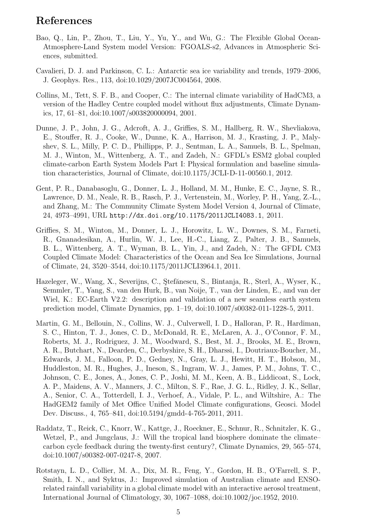## References

- Bao, Q., Lin, P., Zhou, T., Liu, Y., Yu, Y., and Wu, G.: The Flexible Global Ocean-Atmosphere-Land System model Version: FGOALS-s2, Advances in Atmospheric Sciences, submitted.
- Cavalieri, D. J. and Parkinson, C. L.: Antarctic sea ice variability and trends, 1979–2006, J. Geophys. Res., 113, doi:10.1029/2007JC004564, 2008.
- Collins, M., Tett, S. F. B., and Cooper, C.: The internal climate variability of HadCM3, a version of the Hadley Centre coupled model without flux adjustments, Climate Dynamics, 17, 61–81, doi:10.1007/s003820000094, 2001.
- Dunne, J. P., John, J. G., Adcroft, A. J., Griffies, S. M., Hallberg, R. W., Shevliakova, E., Stouffer, R. J., Cooke, W., Dunne, K. A., Harrison, M. J., Krasting, J. P., Malyshev, S. L., Milly, P. C. D., Phillipps, P. J., Sentman, L. A., Samuels, B. L., Spelman, M. J., Winton, M., Wittenberg, A. T., and Zadeh, N.: GFDL's ESM2 global coupled climate-carbon Earth System Models Part I: Physical formulation and baseline simulation characteristics, Journal of Climate, doi:10.1175/JCLI-D-11-00560.1, 2012.
- Gent, P. R., Danabasoglu, G., Donner, L. J., Holland, M. M., Hunke, E. C., Jayne, S. R., Lawrence, D. M., Neale, R. B., Rasch, P. J., Vertenstein, M., Worley, P. H., Yang, Z.-L., and Zhang, M.: The Community Climate System Model Version 4, Journal of Climate, 24, 4973–4991, URL http://dx.doi.org/10.1175/2011JCLI4083.1, 2011.
- Griffies, S. M., Winton, M., Donner, L. J., Horowitz, L. W., Downes, S. M., Farneti, R., Gnanadesikan, A., Hurlin, W. J., Lee, H.-C., Liang, Z., Palter, J. B., Samuels, B. L., Wittenberg, A. T., Wyman, B. L., Yin, J., and Zadeh, N.: The GFDL CM3 Coupled Climate Model: Characteristics of the Ocean and Sea Ice Simulations, Journal of Climate, 24, 3520–3544, doi:10.1175/2011JCLI3964.1, 2011.
- Hazeleger, W., Wang, X., Severijns, C., Stefănescu, S., Bintanja, R., Sterl, A., Wyser, K., Semmler, T., Yang, S., van den Hurk, B., van Noije, T., van der Linden, E., and van der Wiel, K.: EC-Earth V2.2: description and validation of a new seamless earth system prediction model, Climate Dynamics, pp. 1–19, doi:10.1007/s00382-011-1228-5, 2011.
- Martin, G. M., Bellouin, N., Collins, W. J., Culverwell, I. D., Halloran, P. R., Hardiman, S. C., Hinton, T. J., Jones, C. D., McDonald, R. E., McLaren, A. J., O'Connor, F. M., Roberts, M. J., Rodriguez, J. M., Woodward, S., Best, M. J., Brooks, M. E., Brown, A. R., Butchart, N., Dearden, C., Derbyshire, S. H., Dharssi, I., Doutriaux-Boucher, M., Edwards, J. M., Falloon, P. D., Gedney, N., Gray, L. J., Hewitt, H. T., Hobson, M., Huddleston, M. R., Hughes, J., Ineson, S., Ingram, W. J., James, P. M., Johns, T. C., Johnson, C. E., Jones, A., Jones, C. P., Joshi, M. M., Keen, A. B., Liddicoat, S., Lock, A. P., Maidens, A. V., Manners, J. C., Milton, S. F., Rae, J. G. L., Ridley, J. K., Sellar, A., Senior, C. A., Totterdell, I. J., Verhoef, A., Vidale, P. L., and Wiltshire, A.: The HadGEM2 family of Met Office Unified Model Climate configurations, Geosci. Model Dev. Discuss., 4, 765–841, doi:10.5194/gmdd-4-765-2011, 2011.
- Raddatz, T., Reick, C., Knorr, W., Kattge, J., Roeckner, E., Schnur, R., Schnitzler, K. G., Wetzel, P., and Jungclaus, J.: Will the tropical land biosphere dominate the climate– carbon cycle feedback during the twenty-first century?, Climate Dynamics, 29, 565–574, doi:10.1007/s00382-007-0247-8, 2007.
- Rotstayn, L. D., Collier, M. A., Dix, M. R., Feng, Y., Gordon, H. B., O'Farrell, S. P., Smith, I. N., and Syktus, J.: Improved simulation of Australian climate and ENSOrelated rainfall variability in a global climate model with an interactive aerosol treatment, International Journal of Climatology, 30, 1067–1088, doi:10.1002/joc.1952, 2010.